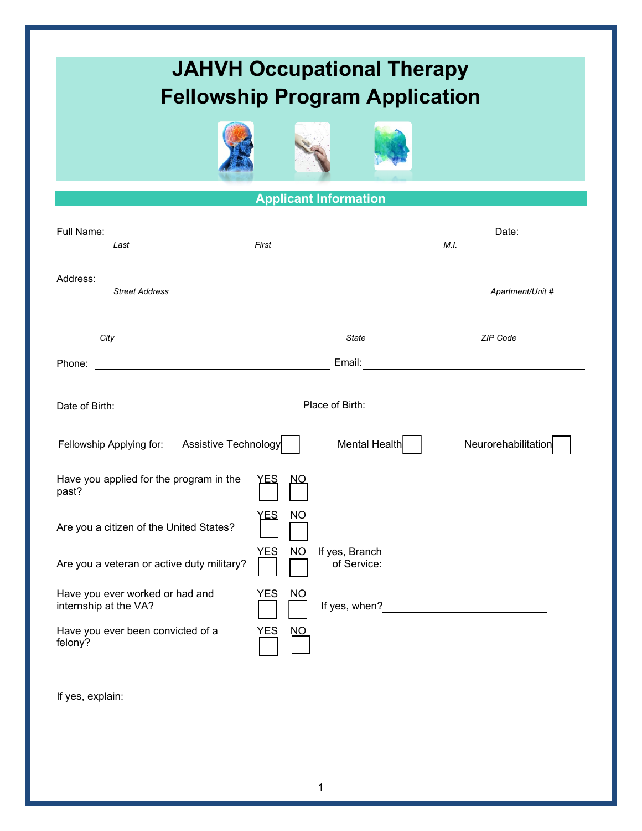## **JAHVH Occupational Therapy Fellowship Program Application**





**Applicant Information**

| Full Name:                                                 |                                                                                       |       |           |                               |      | Date:                                                 |  |
|------------------------------------------------------------|---------------------------------------------------------------------------------------|-------|-----------|-------------------------------|------|-------------------------------------------------------|--|
|                                                            | Last                                                                                  | First |           |                               | M.I. |                                                       |  |
| Address:                                                   |                                                                                       |       |           |                               |      |                                                       |  |
|                                                            | <b>Street Address</b>                                                                 |       |           |                               |      | Apartment/Unit #                                      |  |
|                                                            |                                                                                       |       |           |                               |      |                                                       |  |
| City                                                       |                                                                                       |       |           | <b>State</b>                  |      | ZIP Code                                              |  |
| Phone:                                                     |                                                                                       |       |           | Email:                        |      | <u> 1980 - John Stein, Amerikaansk politiker (</u>    |  |
|                                                            |                                                                                       |       |           |                               |      |                                                       |  |
|                                                            |                                                                                       |       |           |                               |      |                                                       |  |
|                                                            |                                                                                       |       |           |                               |      |                                                       |  |
|                                                            | Mental Health<br>Fellowship Applying for: Assistive Technology<br>Neurorehabilitation |       |           |                               |      |                                                       |  |
|                                                            | Have you applied for the program in the<br>YES                                        |       |           |                               |      |                                                       |  |
| past?                                                      |                                                                                       |       |           |                               |      |                                                       |  |
| ΈS<br><b>NO</b>                                            |                                                                                       |       |           |                               |      |                                                       |  |
| Are you a citizen of the United States?                    |                                                                                       |       |           |                               |      |                                                       |  |
| <b>YES</b><br>Are you a veteran or active duty military?   |                                                                                       |       | <b>NO</b> | If yes, Branch<br>of Service: |      | <u> 1980 - Johann Stein, fransk politik (d. 1980)</u> |  |
| Have you ever worked or had and<br><b>YES</b><br><b>NO</b> |                                                                                       |       |           |                               |      |                                                       |  |
| internship at the VA?                                      |                                                                                       |       |           |                               |      |                                                       |  |
| Have you ever been convicted of a<br>YES<br>NO             |                                                                                       |       |           |                               |      |                                                       |  |
| felony?                                                    |                                                                                       |       |           |                               |      |                                                       |  |
|                                                            |                                                                                       |       |           |                               |      |                                                       |  |
|                                                            |                                                                                       |       |           |                               |      |                                                       |  |

If yes, explain: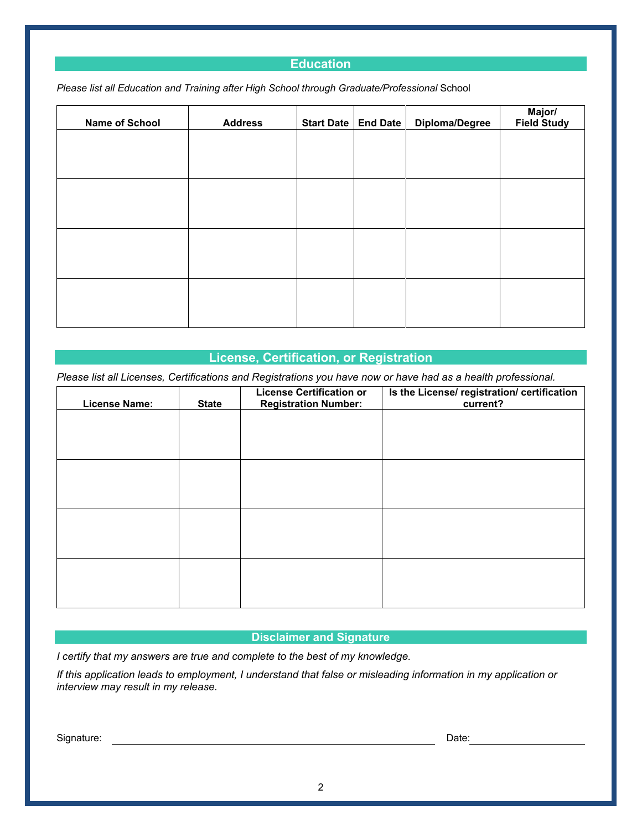## **Education**

*Please list all Education and Training after High School through Graduate/Professional* School

| <b>Name of School</b> | <b>Address</b> | Start Date | End Date | Diploma/Degree | Major/<br>Field Study |
|-----------------------|----------------|------------|----------|----------------|-----------------------|
|                       |                |            |          |                |                       |
|                       |                |            |          |                |                       |
|                       |                |            |          |                |                       |
|                       |                |            |          |                |                       |
|                       |                |            |          |                |                       |
|                       |                |            |          |                |                       |
|                       |                |            |          |                |                       |
|                       |                |            |          |                |                       |

## **License, Certification, or Registration**

*Please list all Licenses, Certifications and Registrations you have now or have had as a health professional.* 

| <b>License Name:</b> | <b>State</b> | <b>License Certification or</b><br><b>Registration Number:</b> | Is the License/ registration/ certification<br>current? |
|----------------------|--------------|----------------------------------------------------------------|---------------------------------------------------------|
|                      |              |                                                                |                                                         |
|                      |              |                                                                |                                                         |
|                      |              |                                                                |                                                         |
|                      |              |                                                                |                                                         |
|                      |              |                                                                |                                                         |
|                      |              |                                                                |                                                         |
|                      |              |                                                                |                                                         |
|                      |              |                                                                |                                                         |

## **Disclaimer and Signature**

*I certify that my answers are true and complete to the best of my knowledge.* 

*If this application leads to employment, I understand that false or misleading information in my application or interview may result in my release.*

Signature: Date: Date: Date: Date: Date: Date: Date: Date: Date: Date: Date: Date: Date: Date: Date: Date: Date: Date: Date: Date: Date: Date: Date: Date: Date: Date: Date: Date: Date: Date: Date: Date: Date: Date: Date: D